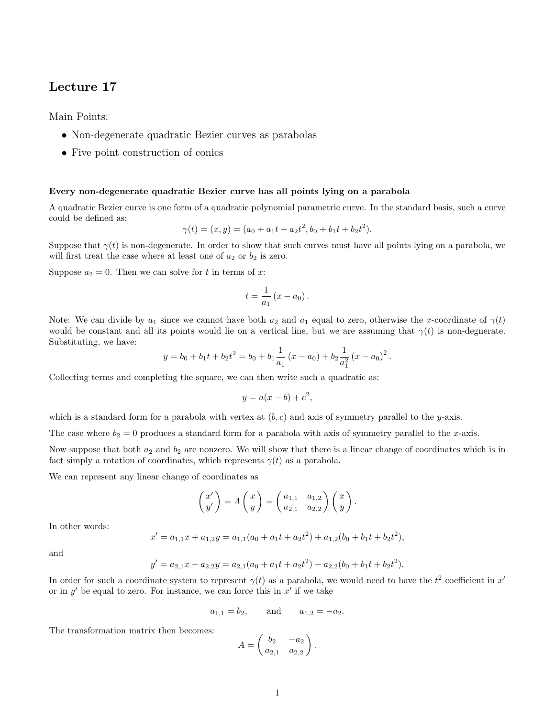## Lecture 17

Main Points:

- Non-degenerate quadratic Bezier curves as parabolas
- Five point construction of conics

## Every non-degenerate quadratic Bezier curve has all points lying on a parabola

A quadratic Bezier curve is one form of a quadratic polynomial parametric curve. In the standard basis, such a curve could be defined as:

$$
\gamma(t) = (x, y) = (a_0 + a_1t + a_2t^2, b_0 + b_1t + b_2t^2).
$$

Suppose that  $\gamma(t)$  is non-degenerate. In order to show that such curves must have all points lying on a parabola, we will first treat the case where at least one of  $a_2$  or  $b_2$  is zero.

Suppose  $a_2 = 0$ . Then we can solve for t in terms of x:

$$
t=\frac{1}{a_1}\left(x-a_0\right).
$$

Note: We can divide by  $a_1$  since we cannot have both  $a_2$  and  $a_1$  equal to zero, otherwise the x-coordinate of  $\gamma(t)$ would be constant and all its points would lie on a vertical line, but we are assuming that  $\gamma(t)$  is non-degnerate. Substituting, we have:

$$
y = b_0 + b_1 t + b_2 t^2 = b_0 + b_1 \frac{1}{a_1} (x - a_0) + b_2 \frac{1}{a_1^2} (x - a_0)^2
$$
.

Collecting terms and completing the square, we can then write such a quadratic as:

$$
y = a(x - b) + c^2,
$$

which is a standard form for a parabola with vertex at  $(b, c)$  and axis of symmetry parallel to the y-axis.

The case where  $b_2 = 0$  produces a standard form for a parabola with axis of symmetry parallel to the x-axis.

Now suppose that both  $a_2$  and  $b_2$  are nonzero. We will show that there is a linear change of coordinates which is in fact simply a rotation of coordinates, which represents  $\gamma(t)$  as a parabola.

We can represent any linear change of coordinates as

$$
\begin{pmatrix} x' \\ y' \end{pmatrix} = A \begin{pmatrix} x \\ y \end{pmatrix} = \begin{pmatrix} a_{1,1} & a_{1,2} \\ a_{2,1} & a_{2,2} \end{pmatrix} \begin{pmatrix} x \\ y \end{pmatrix}.
$$

In other words:

$$
x' = a_{1,1}x + a_{1,2}y = a_{1,1}(a_0 + a_1t + a_2t^2) + a_{1,2}(b_0 + b_1t + b_2t^2),
$$

and

$$
y' = a_{2,1}x + a_{2,2}y = a_{2,1}(a_0 + a_1t + a_2t^2) + a_{2,2}(b_0 + b_1t + b_2t^2).
$$

In order for such a coordinate system to represent  $\gamma(t)$  as a parabola, we would need to have the  $t^2$  coefficient in  $x'$ or in  $y'$  be equal to zero. For instance, we can force this in  $x'$  if we take

$$
a_{1,1} = b_2
$$
, and  $a_{1,2} = -a_2$ .

The transformation matrix then becomes:

$$
A = \begin{pmatrix} b_2 & -a_2 \\ a_{2,1} & a_{2,2} \end{pmatrix}.
$$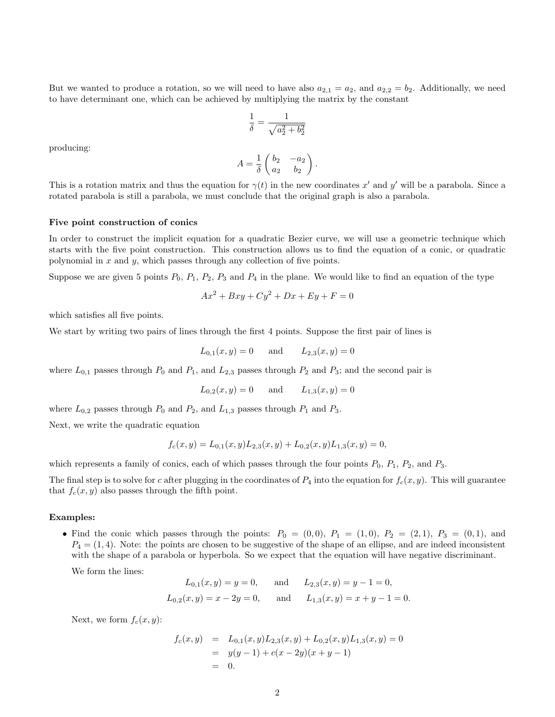But we wanted to produce a rotation, so we will need to have also  $a_{2,1} = a_2$ , and  $a_{2,2} = b_2$ . Additionally, we need to have determinant one, which can be achieved by multiplying the matrix by the constant

$$
\frac{1}{\delta}=\frac{1}{\sqrt{a_2^2+b_2^2}}
$$

producing:

$$
A = \frac{1}{\delta} \begin{pmatrix} b_2 & -a_2 \\ a_2 & b_2 \end{pmatrix}.
$$

This is a rotation matrix and thus the equation for  $\gamma(t)$  in the new coordinates x' and y' will be a parabola. Since a rotated parabola is still a parabola, we must conclude that the original graph is also a parabola.

## Five point construction of conics

In order to construct the implicit equation for a quadratic Bezier curve, we will use a geometric technique which starts with the five point construction. This construction allows us to find the equation of a conic, or quadratic polynomial in  $x$  and  $y$ , which passes through any collection of five points.

Suppose we are given 5 points  $P_0$ ,  $P_1$ ,  $P_2$ ,  $P_3$  and  $P_4$  in the plane. We would like to find an equation of the type

$$
Ax2 + Bxy + Cy2 + Dx + Ey + F = 0
$$

which satisfies all five points.

We start by writing two pairs of lines through the first 4 points. Suppose the first pair of lines is

$$
L_{0,1}(x, y) = 0
$$
 and  $L_{2,3}(x, y) = 0$ 

where  $L_{0,1}$  passes through  $P_0$  and  $P_1$ , and  $L_{2,3}$  passes through  $P_2$  and  $P_3$ ; and the second pair is

$$
L_{0,2}(x,y) = 0
$$
 and  $L_{1,3}(x,y) = 0$ 

where  $L_{0,2}$  passes through  $P_0$  and  $P_2$ , and  $L_{1,3}$  passes through  $P_1$  and  $P_3$ .

Next, we write the quadratic equation

$$
f_c(x,y) = L_{0,1}(x,y)L_{2,3}(x,y) + L_{0,2}(x,y)L_{1,3}(x,y) = 0,
$$

which represents a family of conics, each of which passes through the four points  $P_0$ ,  $P_1$ ,  $P_2$ , and  $P_3$ .

The final step is to solve for c after plugging in the coordinates of  $P_4$  into the equation for  $f_c(x, y)$ . This will guarantee that  $f_c(x, y)$  also passes through the fifth point.

## Examples:

• Find the conic which passes through the points:  $P_0 = (0,0), P_1 = (1,0), P_2 = (2,1), P_3 = (0,1),$  and  $P_4 = (1, 4)$ . Note: the points are chosen to be suggestive of the shape of an ellipse, and are indeed inconsistent with the shape of a parabola or hyperbola. So we expect that the equation will have negative discriminant.

We form the lines:

$$
L_{0,1}(x, y) = y = 0
$$
, and  $L_{2,3}(x, y) = y - 1 = 0$ ,  
\n $L_{0,2}(x, y) = x - 2y = 0$ , and  $L_{1,3}(x, y) = x + y - 1 = 0$ .

Next, we form  $f_c(x, y)$ :

$$
f_c(x,y) = L_{0,1}(x,y)L_{2,3}(x,y) + L_{0,2}(x,y)L_{1,3}(x,y) = 0
$$
  
=  $y(y-1) + c(x-2y)(x+y-1)$   
= 0.